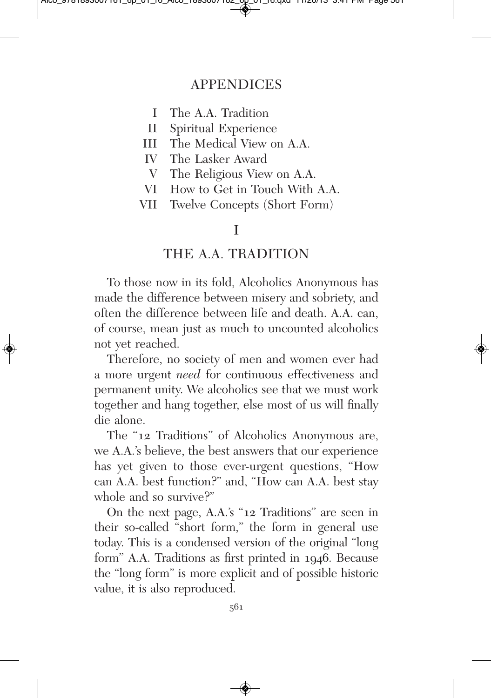# APPENDICES

- I The A.A. Tradition
- II Spiritual Experience
- III The Medical View on A.A.
- IV The Lasker Award
- V The Religious View on A.A.
- VI How to Get in Touch With A.A.
- VII Twelve Concepts (Short Form)

## I

## THE A.A. TRADITION

To those now in its fold, Alcoholics Anonymous has made the difference between misery and sobriety, and often the difference between life and death. A.A. can, of course, mean just as much to uncounted alcoholics not yet reached.

Therefore, no society of men and women ever had a more urgent *need* for continuous effectiveness and permanent unity. We alcoholics see that we must work together and hang together, else most of us will finally die alone.

The "12 Traditions" of Alcoholics Anonymous are, we A.A.'s believe, the best answers that our experience has yet given to those ever-urgent questions, "How can A.A. best function?" and, "How can A.A. best stay whole and so survive?"

On the next page, A.A.'s "12 Traditions" are seen in their so-called "short form," the form in general use today. This is a condensed version of the original "long form" A.A. Traditions as first printed in 1946. Because the "long form" is more explicit and of possible historic value, it is also reproduced.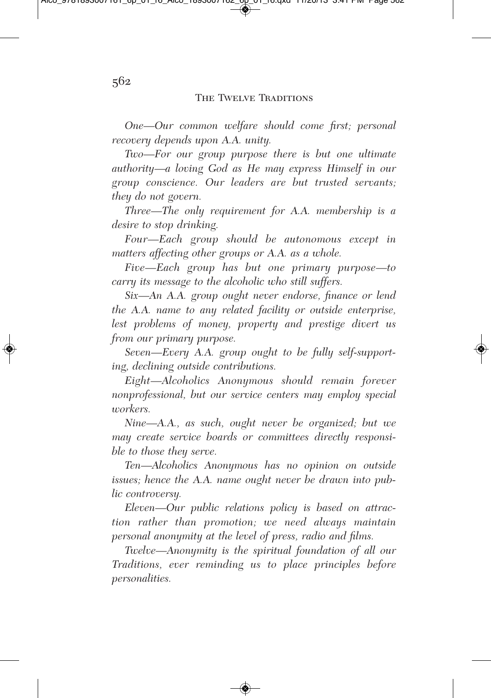#### THE TWELVE TRADITIONS

*One—Our common welfare should come first; personal recovery depends upon A.A. unity.*

*Two—For our group purpose there is but one ultimate authority—a loving God as He may express Himself in our group conscience. Our leaders are but trusted servants; they do not govern.*

*Three—The only requirement for A.A. membership is a desire to stop drinking.*

*Four—Each group should be autonomous except in matters affecting other groups or A.A. as a whole.*

*Five—Each group has but one primary purpose—to carry its message to the alcoholic who still suffers.*

*Six—An A.A. group ought never endorse, finance or lend the A.A. name to any related facility or outside enterprise, lest problems of money, property and prestige divert us from our primary purpose.*

*Seven—Every A.A. group ought to be fully self-supporting, declining outside contributions.*

*Eight—Alcoholics Anonymous should remain forever nonprofessional, but our service centers may employ special workers.*

*Nine—A.A., as such, ought never be organized; but we may create service boards or committees directly responsible to those they serve.*

*Ten—Alcoholics Anonymous has no opinion on outside issues; hence the A.A. name ought never be drawn into public controversy.*

*Eleven—Our public relations policy is based on attraction rather than promotion; we need always maintain personal anonymity at the level of press, radio and films.*

*Twelve—Anonymity is the spiritual foundation of all our Traditions, ever reminding us to place principles before personalities.*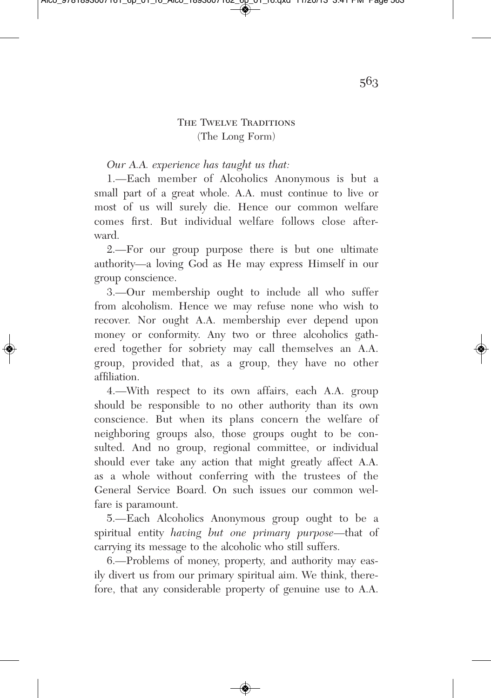#### THE TWELVE TRADITIONS (The Long Form)

*Our A.A. experience has taught us that:*

1.—Each member of Alcoholics Anonymous is but a small part of a great whole. A.A. must continue to live or most of us will surely die. Hence our common welfare comes first. But individual welfare follows close afterward.

2.—For our group purpose there is but one ultimate authority—a loving God as He may express Himself in our group conscience.

3.—Our membership ought to include all who suffer from alcoholism. Hence we may refuse none who wish to recover. Nor ought A.A. membership ever depend upon money or conformity. Any two or three alcoholics gathered together for sobriety may call themselves an A.A. group, provided that, as a group, they have no other affiliation.

4.—With respect to its own affairs, each A.A. group should be responsible to no other authority than its own conscience. But when its plans concern the welfare of neighboring groups also, those groups ought to be consulted. And no group, regional committee, or individual should ever take any action that might greatly affect A.A. as a whole without conferring with the trustees of the General Service Board. On such issues our common welfare is paramount.

5.—Each Alcoholics Anonymous group ought to be a spiritual entity *having but one primary purpose*—that of carrying its message to the alcoholic who still suffers.

6.—Problems of money, property, and authority may easily divert us from our primary spiritual aim. We think, therefore, that any considerable property of genuine use to A.A.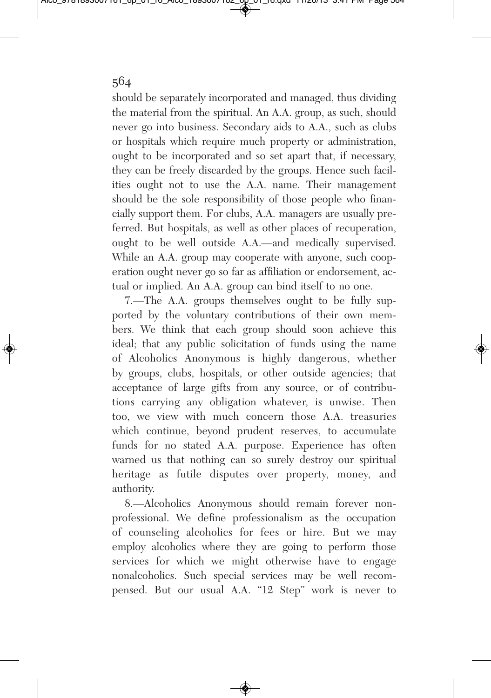564

should be separately incorporated and managed, thus dividing the material from the spiritual. An A.A. group, as such, should never go into business. Secondary aids to A.A., such as clubs or hospitals which require much property or administration, ought to be incorporated and so set apart that, if necessary, they can be freely discarded by the groups. Hence such facilities ought not to use the A.A. name. Their management should be the sole responsibility of those people who financially support them. For clubs, A.A. managers are usually preferred. But hospitals, as well as other places of recuperation, ought to be well outside A.A.—and medically supervised. While an A.A. group may cooperate with anyone, such cooperation ought never go so far as affiliation or endorsement, actual or implied. An A.A. group can bind itself to no one.

7.—The A.A. groups themselves ought to be fully supported by the voluntary contributions of their own members. We think that each group should soon achieve this ideal; that any public solicitation of funds using the name of Alcoholics Anonymous is highly dangerous, whether by groups, clubs, hospitals, or other outside agencies; that acceptance of large gifts from any source, or of contributions carrying any obligation whatever, is unwise. Then too, we view with much concern those A.A. treasuries which continue, beyond prudent reserves, to accumulate funds for no stated A.A. purpose. Experience has often warned us that nothing can so surely destroy our spiritual heritage as futile disputes over property, money, and authority.

8.—Alcoholics Anonymous should remain forever nonprofessional. We define professionalism as the occupation of counseling alcoholics for fees or hire. But we may employ alcoholics where they are going to perform those services for which we might otherwise have to engage nonalcoholics. Such special services may be well recompensed. But our usual A.A. "12 Step" work is never to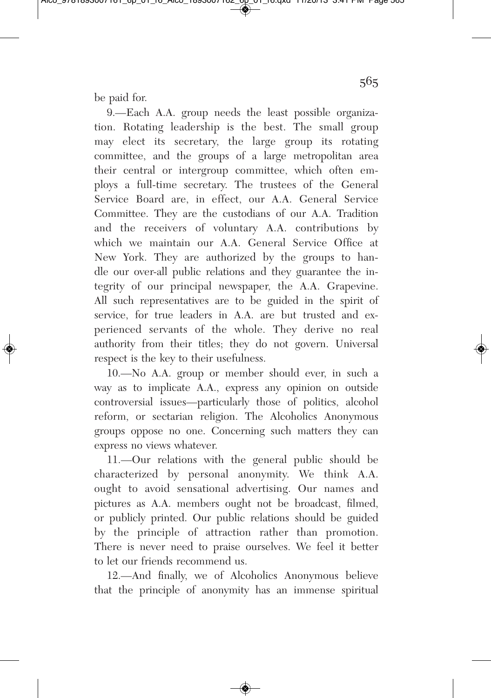be paid for.

9.—Each A.A. group needs the least possible organization. Rotating leadership is the best. The small group may elect its secretary, the large group its rotating committee, and the groups of a large metropolitan area their central or intergroup committee, which often employs a full-time secretary. The trustees of the General Service Board are, in effect, our A.A. General Service Committee. They are the custodians of our A.A. Tradition and the receivers of voluntary A.A. contributions by which we maintain our A.A. General Service Office at New York. They are authorized by the groups to handle our over-all public relations and they guarantee the integrity of our principal newspaper, the A.A. Grapevine. All such representatives are to be guided in the spirit of service, for true leaders in A.A. are but trusted and experienced servants of the whole. They derive no real authority from their titles; they do not govern. Universal respect is the key to their usefulness.

10.—No A.A. group or member should ever, in such a way as to implicate A.A., express any opinion on outside controversial issues—particularly those of politics, alcohol reform, or sectarian religion. The Alcoholics Anonymous groups oppose no one. Concerning such matters they can express no views whatever.

11.—Our relations with the general public should be characterized by personal anonymity. We think A.A. ought to avoid sensational advertising. Our names and pictures as A.A. members ought not be broadcast, filmed, or publicly printed. Our public relations should be guided by the principle of attraction rather than promotion. There is never need to praise ourselves. We feel it better to let our friends recommend us.

12.—And finally, we of Alcoholics Anonymous believe that the principle of anonymity has an immense spiritual